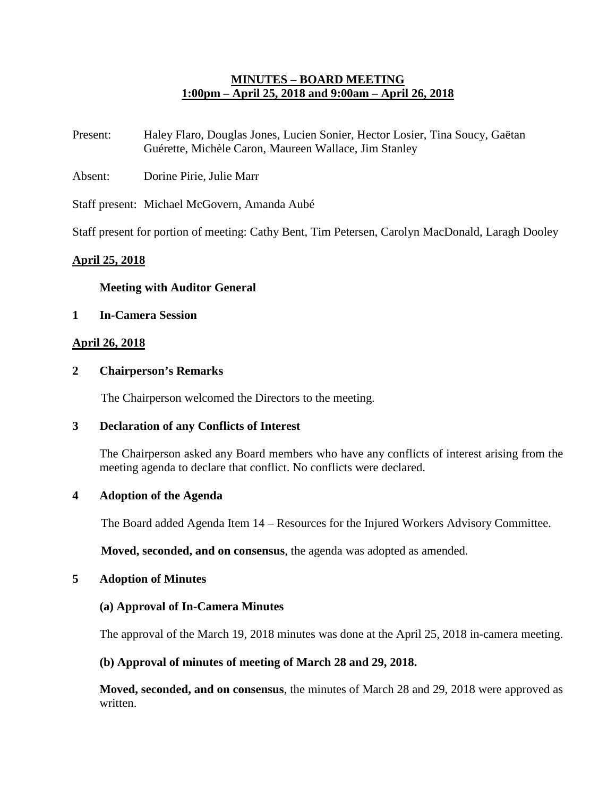## **MINUTES – BOARD MEETING 1:00pm – April 25, 2018 and 9:00am – April 26, 2018**

- Present: Haley Flaro, Douglas Jones, Lucien Sonier, Hector Losier, Tina Soucy, Gaëtan Guérette, Michèle Caron, Maureen Wallace, Jim Stanley
- Absent: Dorine Pirie, Julie Marr

Staff present: Michael McGovern, Amanda Aubé

Staff present for portion of meeting: Cathy Bent, Tim Petersen, Carolyn MacDonald, Laragh Dooley

## **April 25, 2018**

### **Meeting with Auditor General**

### **1 In-Camera Session**

### **April 26, 2018**

#### **2 Chairperson's Remarks**

The Chairperson welcomed the Directors to the meeting.

### **3 Declaration of any Conflicts of Interest**

The Chairperson asked any Board members who have any conflicts of interest arising from the meeting agenda to declare that conflict. No conflicts were declared.

### **4 Adoption of the Agenda**

The Board added Agenda Item 14 – Resources for the Injured Workers Advisory Committee.

**Moved, seconded, and on consensus**, the agenda was adopted as amended.

#### **5 Adoption of Minutes**

#### **(a) Approval of In-Camera Minutes**

The approval of the March 19, 2018 minutes was done at the April 25, 2018 in-camera meeting.

### **(b) Approval of minutes of meeting of March 28 and 29, 2018.**

**Moved, seconded, and on consensus**, the minutes of March 28 and 29, 2018 were approved as written.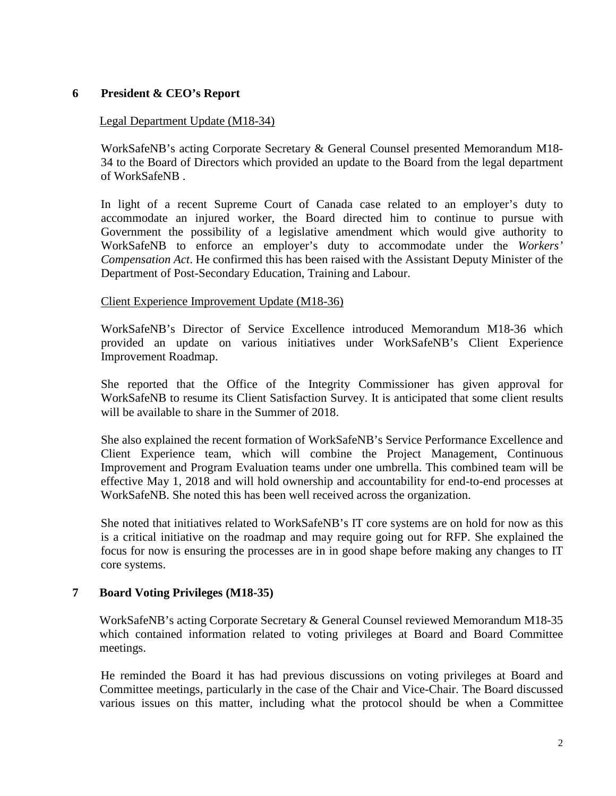# **6 President & CEO's Report**

#### Legal Department Update (M18-34)

WorkSafeNB's acting Corporate Secretary & General Counsel presented Memorandum M18- 34 to the Board of Directors which provided an update to the Board from the legal department of WorkSafeNB .

In light of a recent Supreme Court of Canada case related to an employer's duty to accommodate an injured worker, the Board directed him to continue to pursue with Government the possibility of a legislative amendment which would give authority to WorkSafeNB to enforce an employer's duty to accommodate under the *Workers' Compensation Act*. He confirmed this has been raised with the Assistant Deputy Minister of the Department of Post-Secondary Education, Training and Labour.

#### Client Experience Improvement Update (M18-36)

WorkSafeNB's Director of Service Excellence introduced Memorandum M18-36 which provided an update on various initiatives under WorkSafeNB's Client Experience Improvement Roadmap.

She reported that the Office of the Integrity Commissioner has given approval for WorkSafeNB to resume its Client Satisfaction Survey. It is anticipated that some client results will be available to share in the Summer of 2018.

She also explained the recent formation of WorkSafeNB's Service Performance Excellence and Client Experience team, which will combine the Project Management, Continuous Improvement and Program Evaluation teams under one umbrella. This combined team will be effective May 1, 2018 and will hold ownership and accountability for end-to-end processes at WorkSafeNB. She noted this has been well received across the organization.

She noted that initiatives related to WorkSafeNB's IT core systems are on hold for now as this is a critical initiative on the roadmap and may require going out for RFP. She explained the focus for now is ensuring the processes are in in good shape before making any changes to IT core systems.

### **7 Board Voting Privileges (M18-35)**

WorkSafeNB's acting Corporate Secretary & General Counsel reviewed Memorandum M18-35 which contained information related to voting privileges at Board and Board Committee meetings.

He reminded the Board it has had previous discussions on voting privileges at Board and Committee meetings, particularly in the case of the Chair and Vice-Chair. The Board discussed various issues on this matter, including what the protocol should be when a Committee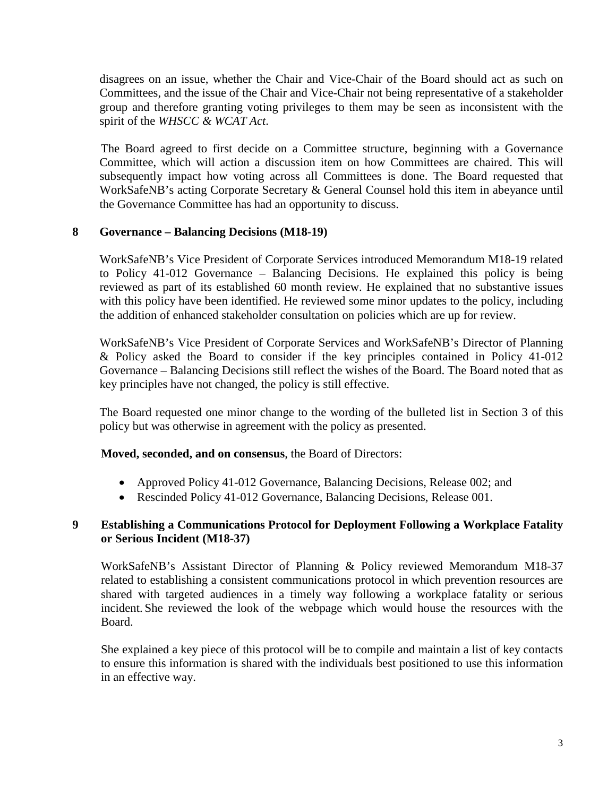disagrees on an issue, whether the Chair and Vice-Chair of the Board should act as such on Committees, and the issue of the Chair and Vice-Chair not being representative of a stakeholder group and therefore granting voting privileges to them may be seen as inconsistent with the spirit of the *WHSCC & WCAT Act*.

The Board agreed to first decide on a Committee structure, beginning with a Governance Committee, which will action a discussion item on how Committees are chaired. This will subsequently impact how voting across all Committees is done. The Board requested that WorkSafeNB's acting Corporate Secretary & General Counsel hold this item in abeyance until the Governance Committee has had an opportunity to discuss.

## **8 Governance – Balancing Decisions (M18-19)**

WorkSafeNB's Vice President of Corporate Services introduced Memorandum M18-19 related to Policy 41-012 Governance – Balancing Decisions. He explained this policy is being reviewed as part of its established 60 month review. He explained that no substantive issues with this policy have been identified. He reviewed some minor updates to the policy, including the addition of enhanced stakeholder consultation on policies which are up for review.

WorkSafeNB's Vice President of Corporate Services and WorkSafeNB's Director of Planning & Policy asked the Board to consider if the key principles contained in Policy 41-012 Governance – Balancing Decisions still reflect the wishes of the Board. The Board noted that as key principles have not changed, the policy is still effective.

The Board requested one minor change to the wording of the bulleted list in Section 3 of this policy but was otherwise in agreement with the policy as presented.

### **Moved, seconded, and on consensus**, the Board of Directors:

- Approved Policy 41-012 Governance, Balancing Decisions, Release 002; and
- Rescinded Policy 41-012 Governance, Balancing Decisions, Release 001.

## **9 Establishing a Communications Protocol for Deployment Following a Workplace Fatality or Serious Incident (M18-37)**

WorkSafeNB's Assistant Director of Planning & Policy reviewed Memorandum M18-37 related to establishing a consistent communications protocol in which prevention resources are shared with targeted audiences in a timely way following a workplace fatality or serious incident. She reviewed the look of the webpage which would house the resources with the Board.

She explained a key piece of this protocol will be to compile and maintain a list of key contacts to ensure this information is shared with the individuals best positioned to use this information in an effective way.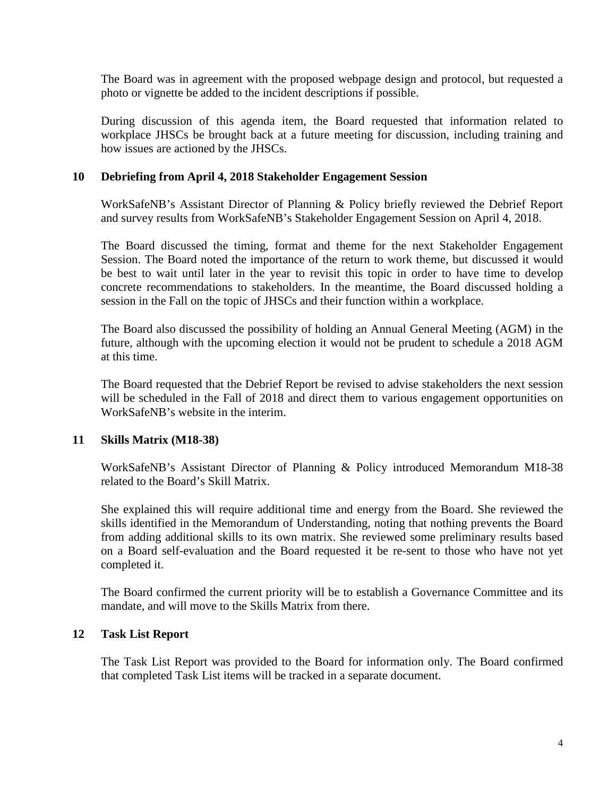The Board was in agreement with the proposed webpage design and protocol, but requested a photo or vignette be added to the incident descriptions if possible.

During discussion of this agenda item, the Board requested that information related to workplace JHSCs be brought back at a future meeting for discussion, including training and how issues are actioned by the JHSCs.

### **10 Debriefing from April 4, 2018 Stakeholder Engagement Session**

WorkSafeNB's Assistant Director of Planning & Policy briefly reviewed the Debrief Report and survey results from WorkSafeNB's Stakeholder Engagement Session on April 4, 2018.

The Board discussed the timing, format and theme for the next Stakeholder Engagement Session. The Board noted the importance of the return to work theme, but discussed it would be best to wait until later in the year to revisit this topic in order to have time to develop concrete recommendations to stakeholders. In the meantime, the Board discussed holding a session in the Fall on the topic of JHSCs and their function within a workplace.

The Board also discussed the possibility of holding an Annual General Meeting (AGM) in the future, although with the upcoming election it would not be prudent to schedule a 2018 AGM at this time.

The Board requested that the Debrief Report be revised to advise stakeholders the next session will be scheduled in the Fall of 2018 and direct them to various engagement opportunities on WorkSafeNB's website in the interim.

# **11 Skills Matrix (M18-38)**

WorkSafeNB's Assistant Director of Planning & Policy introduced Memorandum M18-38 related to the Board's Skill Matrix.

She explained this will require additional time and energy from the Board. She reviewed the skills identified in the Memorandum of Understanding, noting that nothing prevents the Board from adding additional skills to its own matrix. She reviewed some preliminary results based on a Board self-evaluation and the Board requested it be re-sent to those who have not yet completed it.

The Board confirmed the current priority will be to establish a Governance Committee and its mandate, and will move to the Skills Matrix from there.

### **12 Task List Report**

The Task List Report was provided to the Board for information only. The Board confirmed that completed Task List items will be tracked in a separate document.